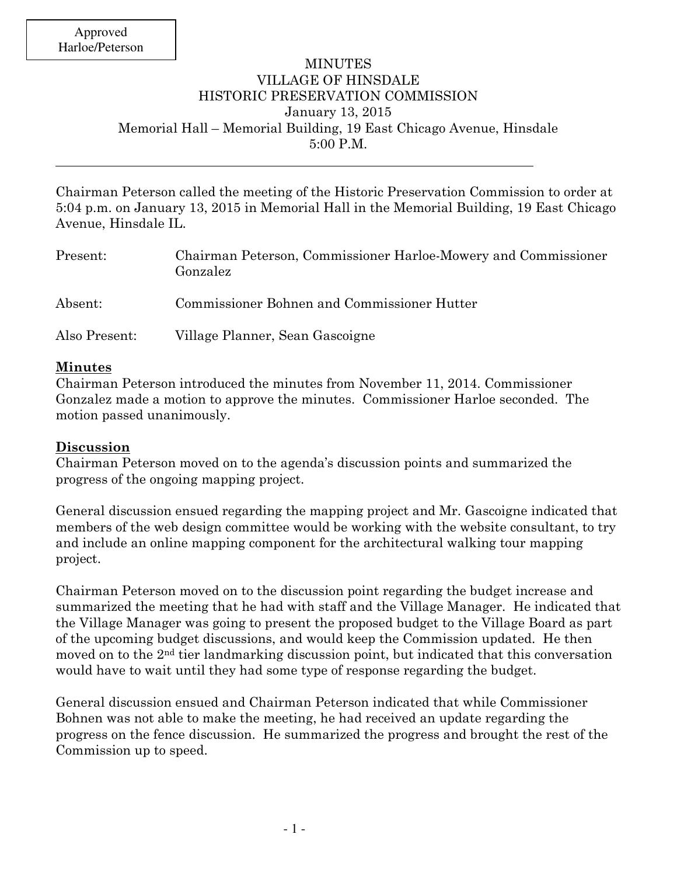## MINUTES VILLAGE OF HINSDALE HISTORIC PRESERVATION COMMISSION January 13, 2015 Memorial Hall – Memorial Building, 19 East Chicago Avenue, Hinsdale 5:00 P.M.

Chairman Peterson called the meeting of the Historic Preservation Commission to order at 5:04 p.m. on January 13, 2015 in Memorial Hall in the Memorial Building, 19 East Chicago Avenue, Hinsdale IL.

| Present:      | Chairman Peterson, Commissioner Harloe-Mowery and Commissioner<br>Gonzalez |
|---------------|----------------------------------------------------------------------------|
| Absent:       | Commissioner Bohnen and Commissioner Hutter                                |
| Also Present: | Village Planner, Sean Gascoigne                                            |

## **Minutes**

Chairman Peterson introduced the minutes from November 11, 2014. Commissioner Gonzalez made a motion to approve the minutes. Commissioner Harloe seconded. The motion passed unanimously.

## **Discussion**

Chairman Peterson moved on to the agenda's discussion points and summarized the progress of the ongoing mapping project.

General discussion ensued regarding the mapping project and Mr. Gascoigne indicated that members of the web design committee would be working with the website consultant, to try and include an online mapping component for the architectural walking tour mapping project.

Chairman Peterson moved on to the discussion point regarding the budget increase and summarized the meeting that he had with staff and the Village Manager. He indicated that the Village Manager was going to present the proposed budget to the Village Board as part of the upcoming budget discussions, and would keep the Commission updated. He then moved on to the  $2<sup>nd</sup>$  tier landmarking discussion point, but indicated that this conversation would have to wait until they had some type of response regarding the budget.

General discussion ensued and Chairman Peterson indicated that while Commissioner Bohnen was not able to make the meeting, he had received an update regarding the progress on the fence discussion. He summarized the progress and brought the rest of the Commission up to speed.